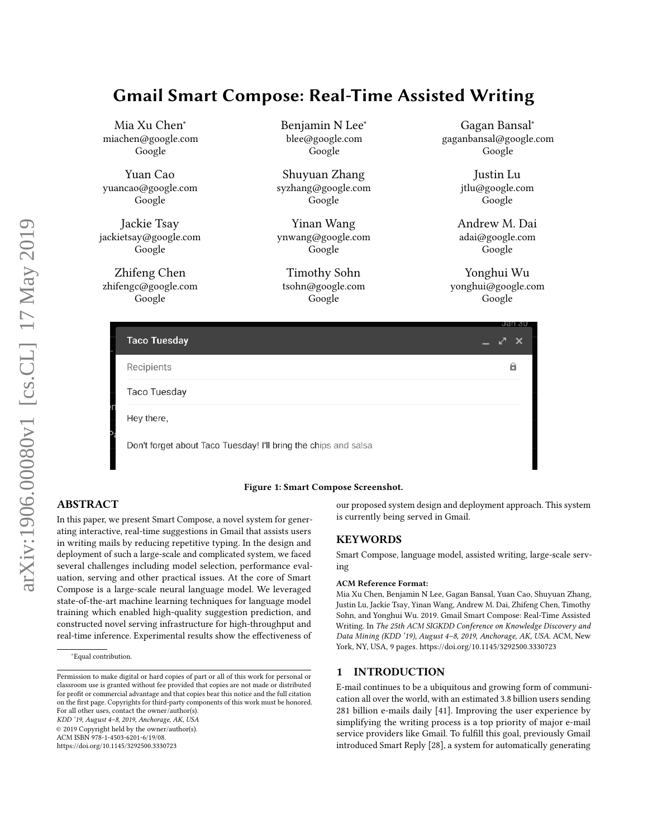# <span id="page-0-0"></span>Gmail Smart Compose: Real-Time Assisted Writing

Mia Xu Chen<sup>∗</sup> miachen@google.com Google

Yuan Cao yuancao@google.com Google

Jackie Tsay jackietsay@google.com Google

Zhifeng Chen zhifengc@google.com Google

Benjamin N Lee<sup>∗</sup> blee@google.com Google

Shuyuan Zhang syzhang@google.com Google

Yinan Wang ynwang@google.com Google

Timothy Sohn tsohn@google.com Google

Gagan Bansal<sup>∗</sup> gaganbansal@google.com Google

> Justin Lu jtlu@google.com Google

Andrew M. Dai adai@google.com Google

Yonghui Wu yonghui@google.com Google

| <b>Taco Tuesday</b>                                                             | Jan 30<br>X |
|---------------------------------------------------------------------------------|-------------|
| Recipients                                                                      |             |
| <b>Taco Tuesday</b>                                                             |             |
| Hey there,                                                                      |             |
| <sup>o</sup><br>Don't forget about Taco Tuesday! I'll bring the chips and salsa |             |

#### Figure 1: Smart Compose Screenshot.

# ABSTRACT

In this paper, we present Smart Compose, a novel system for generating interactive, real-time suggestions in Gmail that assists users in writing mails by reducing repetitive typing. In the design and deployment of such a large-scale and complicated system, we faced several challenges including model selection, performance evaluation, serving and other practical issues. At the core of Smart Compose is a large-scale neural language model. We leveraged state-of-the-art machine learning techniques for language model training which enabled high-quality suggestion prediction, and constructed novel serving infrastructure for high-throughput and real-time inference. Experimental results show the effectiveness of

KDD '19, August 4–8, 2019, Anchorage, AK, USA

© 2019 Copyright held by the owner/author(s).

<https://doi.org/10.1145/3292500.3330723>

our proposed system design and deployment approach. This system is currently being served in Gmail.

# **KEYWORDS**

Smart Compose, language model, assisted writing, large-scale serving

#### ACM Reference Format:

Mia Xu Chen, Benjamin N Lee, Gagan Bansal, Yuan Cao, Shuyuan Zhang, Justin Lu, Jackie Tsay, Yinan Wang, Andrew M. Dai, Zhifeng Chen, Timothy Sohn, and Yonghui Wu. 2019. Gmail Smart Compose: Real-Time Assisted Writing. In The 25th ACM SIGKDD Conference on Knowledge Discovery and Data Mining (KDD '19), August 4–8, 2019, Anchorage, AK, USA. ACM, New York, NY, USA, [9](#page-8-0) pages.<https://doi.org/10.1145/3292500.3330723>

## 1 INTRODUCTION

E-mail continues to be a ubiquitous and growing form of communication all over the world, with an estimated 3.8 billion users sending 281 billion e-mails daily [\[41\]](#page-8-1). Improving the user experience by simplifying the writing process is a top priority of major e-mail service providers like Gmail. To fulfill this goal, previously Gmail introduced Smart Reply [\[28\]](#page-8-2), a system for automatically generating

<sup>∗</sup>Equal contribution.

Permission to make digital or hard copies of part or all of this work for personal or classroom use is granted without fee provided that copies are not made or distributed for profit or commercial advantage and that copies bear this notice and the full citation on the first page. Copyrights for third-party components of this work must be honored. For all other uses, contact the owner/author(s).

ACM ISBN 978-1-4503-6201-6/19/08.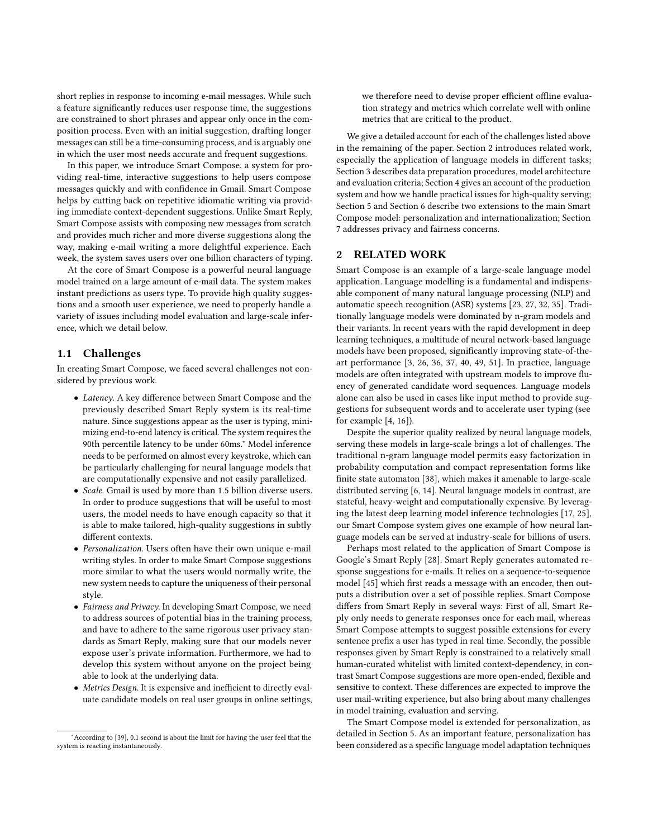short replies in response to incoming e-mail messages. While such a feature significantly reduces user response time, the suggestions are constrained to short phrases and appear only once in the composition process. Even with an initial suggestion, drafting longer messages can still be a time-consuming process, and is arguably one in which the user most needs accurate and frequent suggestions.

In this paper, we introduce Smart Compose, a system for providing real-time, interactive suggestions to help users compose messages quickly and with confidence in Gmail. Smart Compose helps by cutting back on repetitive idiomatic writing via providing immediate context-dependent suggestions. Unlike Smart Reply, Smart Compose assists with composing new messages from scratch and provides much richer and more diverse suggestions along the way, making e-mail writing a more delightful experience. Each week, the system saves users over one billion characters of typing.

At the core of Smart Compose is a powerful neural language model trained on a large amount of e-mail data. The system makes instant predictions as users type. To provide high quality suggestions and a smooth user experience, we need to properly handle a variety of issues including model evaluation and large-scale inference, which we detail below.

#### 1.1 Challenges

In creating Smart Compose, we faced several challenges not considered by previous work.

- Latency. A key difference between Smart Compose and the previously described Smart Reply system is its real-time nature. Since suggestions appear as the user is typing, minimizing end-to-end latency is critical. The system requires the 90th percentile latency to be under 60ms.<sup>[∗](#page-0-0)</sup> Model inference needs to be performed on almost every keystroke, which can be particularly challenging for neural language models that are computationally expensive and not easily parallelized.
- Scale. Gmail is used by more than 1.5 billion diverse users. In order to produce suggestions that will be useful to most users, the model needs to have enough capacity so that it is able to make tailored, high-quality suggestions in subtly different contexts.
- Personalization. Users often have their own unique e-mail writing styles. In order to make Smart Compose suggestions more similar to what the users would normally write, the new system needs to capture the uniqueness of their personal style.
- Fairness and Privacy. In developing Smart Compose, we need to address sources of potential bias in the training process, and have to adhere to the same rigorous user privacy standards as Smart Reply, making sure that our models never expose user's private information. Furthermore, we had to develop this system without anyone on the project being able to look at the underlying data.
- Metrics Design. It is expensive and inefficient to directly evaluate candidate models on real user groups in online settings,

we therefore need to devise proper efficient offline evaluation strategy and metrics which correlate well with online metrics that are critical to the product.

We give a detailed account for each of the challenges listed above in the remaining of the paper. Section [2](#page-1-0) introduces related work, especially the application of language models in different tasks; Section [3](#page-2-0) describes data preparation procedures, model architecture and evaluation criteria; Section [4](#page-4-0) gives an account of the production system and how we handle practical issues for high-quality serving; Section [5](#page-5-0) and Section [6](#page-6-0) describe two extensions to the main Smart Compose model: personalization and internationalization; Section [7](#page-7-0) addresses privacy and fairness concerns.

## <span id="page-1-0"></span>2 RELATED WORK

Smart Compose is an example of a large-scale language model application. Language modelling is a fundamental and indispensable component of many natural language processing (NLP) and automatic speech recognition (ASR) systems [\[23,](#page-8-4) [27,](#page-8-5) [32,](#page-8-6) [35\]](#page-8-7). Traditionally language models were dominated by n-gram models and their variants. In recent years with the rapid development in deep learning techniques, a multitude of neural network-based language models have been proposed, significantly improving state-of-theart performance [\[3,](#page-8-8) [26,](#page-8-9) [36,](#page-8-10) [37,](#page-8-11) [40,](#page-8-12) [49,](#page-8-13) [51\]](#page-8-14). In practice, language models are often integrated with upstream models to improve fluency of generated candidate word sequences. Language models alone can also be used in cases like input method to provide suggestions for subsequent words and to accelerate user typing (see for example  $[4, 16]$  $[4, 16]$ ).

Despite the superior quality realized by neural language models, serving these models in large-scale brings a lot of challenges. The traditional n-gram language model permits easy factorization in probability computation and compact representation forms like finite state automaton [\[38\]](#page-8-17), which makes it amenable to large-scale distributed serving [\[6,](#page-8-18) [14\]](#page-8-19). Neural language models in contrast, are stateful, heavy-weight and computationally expensive. By leveraging the latest deep learning model inference technologies [\[17,](#page-8-20) [25\]](#page-8-21), our Smart Compose system gives one example of how neural language models can be served at industry-scale for billions of users.

Perhaps most related to the application of Smart Compose is Google's Smart Reply [\[28\]](#page-8-2). Smart Reply generates automated response suggestions for e-mails. It relies on a sequence-to-sequence model [\[45\]](#page-8-22) which first reads a message with an encoder, then outputs a distribution over a set of possible replies. Smart Compose differs from Smart Reply in several ways: First of all, Smart Reply only needs to generate responses once for each mail, whereas Smart Compose attempts to suggest possible extensions for every sentence prefix a user has typed in real time. Secondly, the possible responses given by Smart Reply is constrained to a relatively small human-curated whitelist with limited context-dependency, in contrast Smart Compose suggestions are more open-ended, flexible and sensitive to context. These differences are expected to improve the user mail-writing experience, but also bring about many challenges in model training, evaluation and serving.

The Smart Compose model is extended for personalization, as detailed in Section [5.](#page-5-0) As an important feature, personalization has been considered as a specific language model adaptation techniques

<sup>∗</sup>According to [\[39\]](#page-8-3), 0.1 second is about the limit for having the user feel that the system is reacting instantaneously.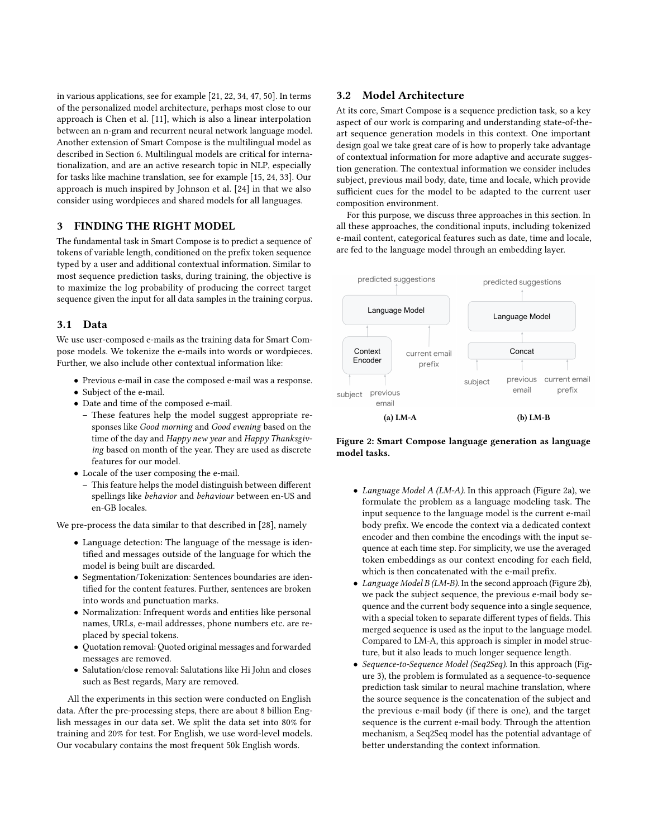in various applications, see for example [\[21,](#page-8-23) [22,](#page-8-24) [34,](#page-8-25) [47,](#page-8-26) [50\]](#page-8-27). In terms of the personalized model architecture, perhaps most close to our approach is Chen et al. [\[11\]](#page-8-28), which is also a linear interpolation between an n-gram and recurrent neural network language model. Another extension of Smart Compose is the multilingual model as described in Section [6.](#page-6-0) Multilingual models are critical for internationalization, and are an active research topic in NLP, especially for tasks like machine translation, see for example [\[15,](#page-8-29) [24,](#page-8-30) [33\]](#page-8-31). Our approach is much inspired by Johnson et al. [\[24\]](#page-8-30) in that we also consider using wordpieces and shared models for all languages.

## <span id="page-2-0"></span>3 FINDING THE RIGHT MODEL

The fundamental task in Smart Compose is to predict a sequence of tokens of variable length, conditioned on the prefix token sequence typed by a user and additional contextual information. Similar to most sequence prediction tasks, during training, the objective is to maximize the log probability of producing the correct target sequence given the input for all data samples in the training corpus.

## 3.1 Data

We use user-composed e-mails as the training data for Smart Compose models. We tokenize the e-mails into words or wordpieces. Further, we also include other contextual information like:

- Previous e-mail in case the composed e-mail was a response.
- Subject of the e-mail.
- Date and time of the composed e-mail.
	- These features help the model suggest appropriate responses like Good morning and Good evening based on the time of the day and Happy new year and Happy Thanksgiving based on month of the year. They are used as discrete features for our model.
- Locale of the user composing the e-mail.
	- This feature helps the model distinguish between different spellings like behavior and behaviour between en-US and en-GB locales.

We pre-process the data similar to that described in [\[28\]](#page-8-2), namely

- Language detection: The language of the message is identified and messages outside of the language for which the model is being built are discarded.
- Segmentation/Tokenization: Sentences boundaries are identified for the content features. Further, sentences are broken into words and punctuation marks.
- Normalization: Infrequent words and entities like personal names, URLs, e-mail addresses, phone numbers etc. are replaced by special tokens.
- Quotation removal: Quoted original messages and forwarded messages are removed.
- Salutation/close removal: Salutations like Hi John and closes such as Best regards, Mary are removed.

All the experiments in this section were conducted on English data. After the pre-processing steps, there are about 8 billion English messages in our data set. We split the data set into 80% for training and 20% for test. For English, we use word-level models. Our vocabulary contains the most frequent 50k English words.

#### <span id="page-2-2"></span>3.2 Model Architecture

At its core, Smart Compose is a sequence prediction task, so a key aspect of our work is comparing and understanding state-of-theart sequence generation models in this context. One important design goal we take great care of is how to properly take advantage of contextual information for more adaptive and accurate suggestion generation. The contextual information we consider includes subject, previous mail body, date, time and locale, which provide sufficient cues for the model to be adapted to the current user composition environment.

For this purpose, we discuss three approaches in this section. In all these approaches, the conditional inputs, including tokenized e-mail content, categorical features such as date, time and locale, are fed to the language model through an embedding layer.

<span id="page-2-1"></span>

Figure 2: Smart Compose language generation as language model tasks.

- Language Model A (LM-A). In this approach (Figure [2a\)](#page-2-1), we formulate the problem as a language modeling task. The input sequence to the language model is the current e-mail body prefix. We encode the context via a dedicated context encoder and then combine the encodings with the input sequence at each time step. For simplicity, we use the averaged token embeddings as our context encoding for each field, which is then concatenated with the e-mail prefix.
- Language Model B (LM-B). In the second approach (Figure [2b\)](#page-2-1), we pack the subject sequence, the previous e-mail body sequence and the current body sequence into a single sequence, with a special token to separate different types of fields. This merged sequence is used as the input to the language model. Compared to LM-A, this approach is simpler in model structure, but it also leads to much longer sequence length.
- Sequence-to-Sequence Model (Seq2Seq). In this approach (Figure [3\)](#page-3-0), the problem is formulated as a sequence-to-sequence prediction task similar to neural machine translation, where the source sequence is the concatenation of the subject and the previous e-mail body (if there is one), and the target sequence is the current e-mail body. Through the attention mechanism, a Seq2Seq model has the potential advantage of better understanding the context information.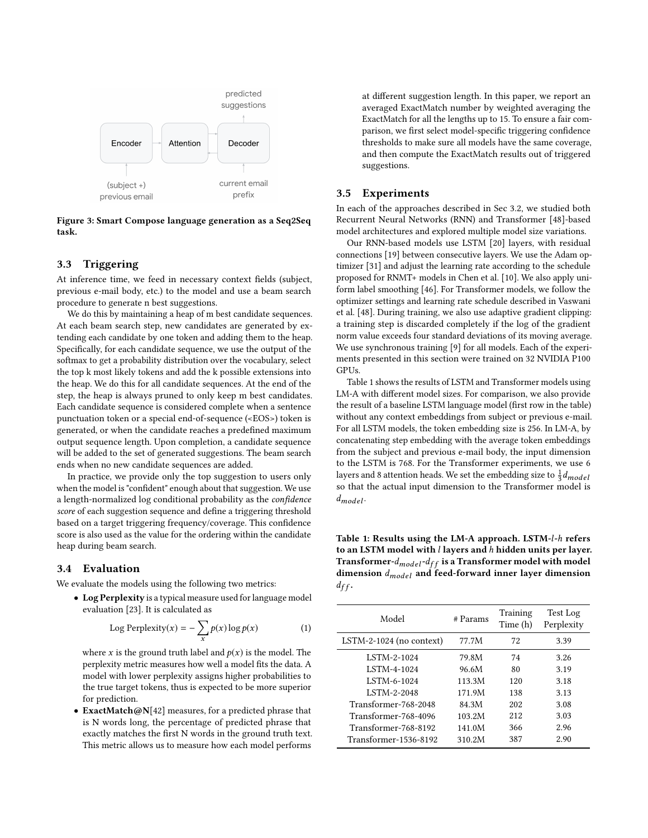<span id="page-3-0"></span>

Figure 3: Smart Compose language generation as a Seq2Seq task.

## 3.3 Triggering

At inference time, we feed in necessary context fields (subject, previous e-mail body, etc.) to the model and use a beam search procedure to generate n best suggestions.

We do this by maintaining a heap of m best candidate sequences. At each beam search step, new candidates are generated by extending each candidate by one token and adding them to the heap. Specifically, for each candidate sequence, we use the output of the softmax to get a probability distribution over the vocabulary, select the top k most likely tokens and add the k possible extensions into the heap. We do this for all candidate sequences. At the end of the step, the heap is always pruned to only keep m best candidates. Each candidate sequence is considered complete when a sentence punctuation token or a special end-of-sequence (<EOS>) token is generated, or when the candidate reaches a predefined maximum output sequence length. Upon completion, a candidate sequence will be added to the set of generated suggestions. The beam search ends when no new candidate sequences are added.

In practice, we provide only the top suggestion to users only when the model is "confident" enough about that suggestion. We use a length-normalized log conditional probability as the confidence score of each suggestion sequence and define a triggering threshold based on a target triggering frequency/coverage. This confidence score is also used as the value for the ordering within the candidate heap during beam search.

#### 3.4 Evaluation

We evaluate the models using the following two metrics:

• Log Perplexity is a typical measure used for language model evaluation [\[23\]](#page-8-4). It is calculated as

Log Perplexity(x) = 
$$
-\sum_{x} p(x) \log p(x)
$$
 (1)

where x is the ground truth label and  $p(x)$  is the model. The perplexity metric measures how well a model fits the data. A model with lower perplexity assigns higher probabilities to the true target tokens, thus is expected to be more superior for prediction.

• ExactMatch@N[\[42\]](#page-8-32) measures, for a predicted phrase that is N words long, the percentage of predicted phrase that exactly matches the first N words in the ground truth text. This metric allows us to measure how each model performs

at different suggestion length. In this paper, we report an averaged ExactMatch number by weighted averaging the ExactMatch for all the lengths up to 15. To ensure a fair comparison, we first select model-specific triggering confidence thresholds to make sure all models have the same coverage, and then compute the ExactMatch results out of triggered suggestions.

#### 3.5 Experiments

In each of the approaches described in Sec [3.2,](#page-2-2) we studied both Recurrent Neural Networks (RNN) and Transformer [\[48\]](#page-8-33)-based model architectures and explored multiple model size variations.

Our RNN-based models use LSTM [\[20\]](#page-8-34) layers, with residual connections [\[19\]](#page-8-35) between consecutive layers. We use the Adam optimizer [\[31\]](#page-8-36) and adjust the learning rate according to the schedule proposed for RNMT+ models in Chen et al. [\[10\]](#page-8-37). We also apply uniform label smoothing [\[46\]](#page-8-38). For Transformer models, we follow the optimizer settings and learning rate schedule described in Vaswani et al. [\[48\]](#page-8-33). During training, we also use adaptive gradient clipping: a training step is discarded completely if the log of the gradient norm value exceeds four standard deviations of its moving average. We use synchronous training [\[9\]](#page-8-39) for all models. Each of the experiments presented in this section were trained on 32 NVIDIA P100 GPUs.

Table [1](#page-3-1) shows the results of LSTM and Transformer models using LM-A with different model sizes. For comparison, we also provide the result of a baseline LSTM language model (first row in the table) without any context embeddings from subject or previous e-mail. For all LSTM models, the token embedding size is 256. In LM-A, by concatenating step embedding with the average token embeddings from the subject and previous e-mail body, the input dimension to the LSTM is 768. For the Transformer experiments, we use 6 layers and 8 attention heads. We set the embedding size to  $\frac{1}{3}$ layers and 8 attention neads. We set the embedding size to  $\frac{1}{3}a_{model}$ <br>so that the actual input dimension to the Transformer model is  $d_{model}$ .

<span id="page-3-1"></span>Table 1: Results using the LM-A approach. LSTM-l-h refers to an LSTM model with l layers and h hidden units per layer. Transformer- $d_{model}$ - $d_{ff}$  is a Transformer model with model dimension  $d_{model}$  and feed-forward inner layer dimension  $d_{ff}$ .

| Model                    | # Params | Training<br>Time (h) | Test Log<br>Perplexity |
|--------------------------|----------|----------------------|------------------------|
| LSTM-2-1024 (no context) | 77.7M    | 72                   | 3.39                   |
| <b>LSTM-2-1024</b>       | 79.8M    | 74                   | 3.26                   |
| <b>LSTM-4-1024</b>       | 96.6M    | 80                   | 3.19                   |
| <b>LSTM-6-1024</b>       | 113.3M   | 120                  | 3.18                   |
| <b>LSTM-2-2048</b>       | 171.9M   | 138                  | 3.13                   |
| Transformer-768-2048     | 84.3M    | 202                  | 3.08                   |
| Transformer-768-4096     | 103.2M   | 212                  | 3.03                   |
| Transformer-768-8192     | 141.0M   | 366                  | 2.96                   |
| Transformer-1536-8192    | 310.2M   | 387                  | 2.90                   |
|                          |          |                      |                        |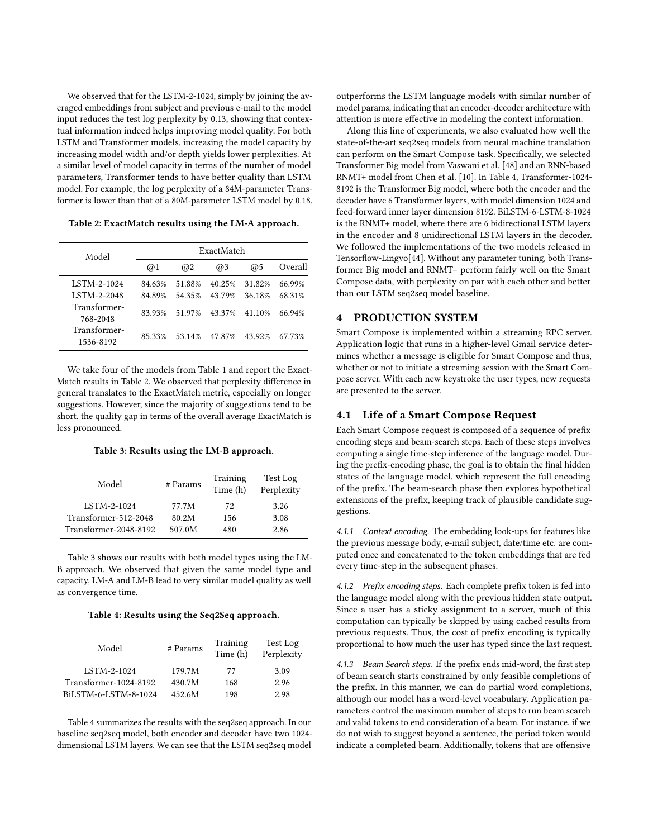We observed that for the LSTM-2-1024, simply by joining the averaged embeddings from subject and previous e-mail to the model input reduces the test log perplexity by 0.13, showing that contextual information indeed helps improving model quality. For both LSTM and Transformer models, increasing the model capacity by increasing model width and/or depth yields lower perplexities. At a similar level of model capacity in terms of the number of model parameters, Transformer tends to have better quality than LSTM model. For example, the log perplexity of a 84M-parameter Transformer is lower than that of a 80M-parameter LSTM model by 0.18.

<span id="page-4-1"></span>Table 2: ExactMatch results using the LM-A approach.

| @1     | @2     | @3     | @5     | Overall    |
|--------|--------|--------|--------|------------|
| 84.63% | 51.88% | 40.25% | 31.82% | 66.99%     |
| 84.89% | 54 35% | 43.79% | 36.18% | 68.31%     |
| 83.93% | 51.97% | 43.37% | 41.10% | 66.94%     |
| 85.33% | 53.14% | 47.87% | 43.92% | 67.73%     |
|        |        |        |        | ExactMatch |

We take four of the models from Table [1](#page-3-1) and report the Exact-Match results in Table [2.](#page-4-1) We observed that perplexity difference in general translates to the ExactMatch metric, especially on longer suggestions. However, since the majority of suggestions tend to be short, the quality gap in terms of the overall average ExactMatch is less pronounced.

Table 3: Results using the LM-B approach.

<span id="page-4-2"></span>

| Model                 | # Params | Training<br>Time (h) | Test Log<br>Perplexity |
|-----------------------|----------|----------------------|------------------------|
| LSTM-2-1024           | 77.7M    | 72                   | 3.26                   |
| Transformer-512-2048  | 80.2M    | 156                  | 3.08                   |
| Transformer-2048-8192 | 507.0M   | 480                  | 2.86                   |

Table [3](#page-4-2) shows our results with both model types using the LM-B approach. We observed that given the same model type and capacity, LM-A and LM-B lead to very similar model quality as well as convergence time.

Table 4: Results using the Seq2Seq approach.

<span id="page-4-3"></span>

| Model                 | # Params | Training<br>Time (h) | Test Log<br>Perplexity |
|-----------------------|----------|----------------------|------------------------|
| LSTM-2-1024           | 179.7M   | 77                   | 3.09                   |
| Transformer-1024-8192 | 430.7M   | 168                  | 2.96                   |
| BILSTM-6-LSTM-8-1024  | 452.6M   | 198                  | 2.98                   |

Table [4](#page-4-3) summarizes the results with the seq2seq approach. In our baseline seq2seq model, both encoder and decoder have two 1024 dimensional LSTM layers. We can see that the LSTM seq2seq model

outperforms the LSTM language models with similar number of model params, indicating that an encoder-decoder architecture with attention is more effective in modeling the context information.

Along this line of experiments, we also evaluated how well the state-of-the-art seq2seq models from neural machine translation can perform on the Smart Compose task. Specifically, we selected Transformer Big model from Vaswani et al. [\[48\]](#page-8-33) and an RNN-based RNMT+ model from Chen et al. [\[10\]](#page-8-37). In Table [4,](#page-4-3) Transformer-1024- 8192 is the Transformer Big model, where both the encoder and the decoder have 6 Transformer layers, with model dimension 1024 and feed-forward inner layer dimension 8192. BiLSTM-6-LSTM-8-1024 is the RNMT+ model, where there are 6 bidirectional LSTM layers in the encoder and 8 unidirectional LSTM layers in the decoder. We followed the implementations of the two models released in Tensorflow-Lingvo[\[44\]](#page-8-40). Without any parameter tuning, both Transformer Big model and RNMT+ perform fairly well on the Smart Compose data, with perplexity on par with each other and better than our LSTM seq2seq model baseline.

#### <span id="page-4-0"></span>4 PRODUCTION SYSTEM

Smart Compose is implemented within a streaming RPC server. Application logic that runs in a higher-level Gmail service determines whether a message is eligible for Smart Compose and thus, whether or not to initiate a streaming session with the Smart Compose server. With each new keystroke the user types, new requests are presented to the server.

#### 4.1 Life of a Smart Compose Request

Each Smart Compose request is composed of a sequence of prefix encoding steps and beam-search steps. Each of these steps involves computing a single time-step inference of the language model. During the prefix-encoding phase, the goal is to obtain the final hidden states of the language model, which represent the full encoding of the prefix. The beam-search phase then explores hypothetical extensions of the prefix, keeping track of plausible candidate suggestions.

4.1.1 Context encoding. The embedding look-ups for features like the previous message body, e-mail subject, date/time etc. are computed once and concatenated to the token embeddings that are fed every time-step in the subsequent phases.

4.1.2 Prefix encoding steps. Each complete prefix token is fed into the language model along with the previous hidden state output. Since a user has a sticky assignment to a server, much of this computation can typically be skipped by using cached results from previous requests. Thus, the cost of prefix encoding is typically proportional to how much the user has typed since the last request.

4.1.3 Beam Search steps. If the prefix ends mid-word, the first step of beam search starts constrained by only feasible completions of the prefix. In this manner, we can do partial word completions, although our model has a word-level vocabulary. Application parameters control the maximum number of steps to run beam search and valid tokens to end consideration of a beam. For instance, if we do not wish to suggest beyond a sentence, the period token would indicate a completed beam. Additionally, tokens that are offensive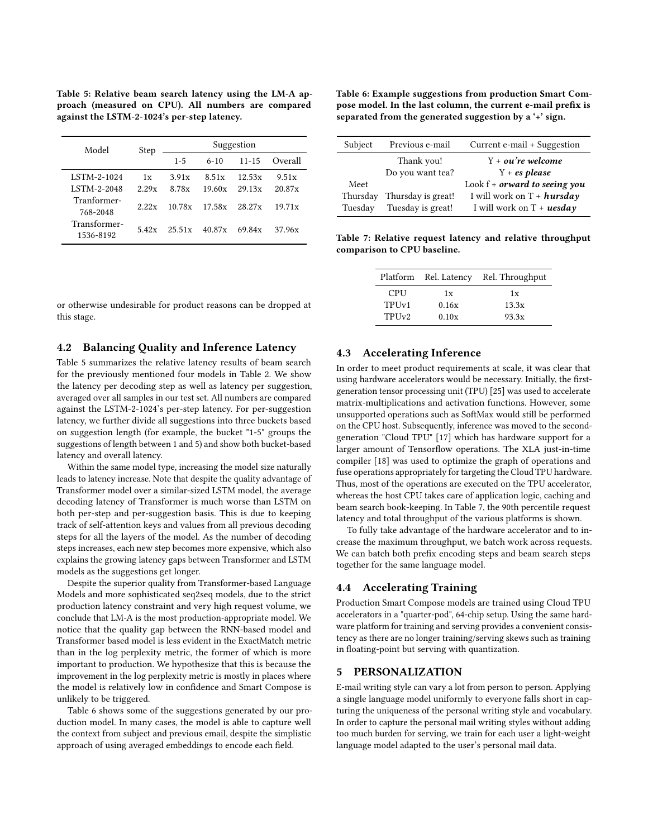<span id="page-5-1"></span>Table 5: Relative beam search latency using the LM-A approach (measured on CPU). All numbers are compared against the LSTM-2-1024's per-step latency.

| Model                     | Step  | Suggestion |          |           |         |
|---------------------------|-------|------------|----------|-----------|---------|
|                           |       | $1 - 5$    | $6 - 10$ | $11 - 15$ | Overall |
| LSTM-2-1024               | 1x    | 3.91x      | 8.51x    | 12.53x    | 9.51x   |
| <b>LSTM-2-2048</b>        | 2.29x | 8.78x      | 19.60x   | 29.13x    | 20.87x  |
| Tranformer-<br>768-2048   | 2.22x | 10.78x     | 17.58x   | 28.27x    | 19.71x  |
| Transformer-<br>1536-8192 | 5.42x | 25.51x     | 40.87x   | 69.84x    | 37.96x  |

or otherwise undesirable for product reasons can be dropped at this stage.

## 4.2 Balancing Quality and Inference Latency

Table [5](#page-5-1) summarizes the relative latency results of beam search for the previously mentioned four models in Table [2.](#page-4-1) We show the latency per decoding step as well as latency per suggestion, averaged over all samples in our test set. All numbers are compared against the LSTM-2-1024's per-step latency. For per-suggestion latency, we further divide all suggestions into three buckets based on suggestion length (for example, the bucket "1-5" groups the suggestions of length between 1 and 5) and show both bucket-based latency and overall latency.

Within the same model type, increasing the model size naturally leads to latency increase. Note that despite the quality advantage of Transformer model over a similar-sized LSTM model, the average decoding latency of Transformer is much worse than LSTM on both per-step and per-suggestion basis. This is due to keeping track of self-attention keys and values from all previous decoding steps for all the layers of the model. As the number of decoding steps increases, each new step becomes more expensive, which also explains the growing latency gaps between Transformer and LSTM models as the suggestions get longer.

Despite the superior quality from Transformer-based Language Models and more sophisticated seq2seq models, due to the strict production latency constraint and very high request volume, we conclude that LM-A is the most production-appropriate model. We notice that the quality gap between the RNN-based model and Transformer based model is less evident in the ExactMatch metric than in the log perplexity metric, the former of which is more important to production. We hypothesize that this is because the improvement in the log perplexity metric is mostly in places where the model is relatively low in confidence and Smart Compose is unlikely to be triggered.

Table [6](#page-5-2) shows some of the suggestions generated by our production model. In many cases, the model is able to capture well the context from subject and previous email, despite the simplistic approach of using averaged embeddings to encode each field.

<span id="page-5-2"></span>Table 6: Example suggestions from production Smart Compose model. In the last column, the current e-mail prefix is separated from the generated suggestion by a '+' sign.

| Subject  | Previous e-mail    | Current e-mail + Suggestion     |
|----------|--------------------|---------------------------------|
|          | Thank you!         | $Y + \sigma u'$ re welcome      |
|          | Do you want tea?   | $Y + es$ please                 |
| Meet     |                    | Look $f +$ orward to seeing you |
| Thursday | Thursday is great! | I will work on $T + hursday$    |
| Tuesday  | Tuesday is great!  | I will work on $T + uesday$     |

<span id="page-5-3"></span>Table 7: Relative request latency and relative throughput comparison to CPU baseline.

| Platform |            | Rel. Latency | Rel. Throughput |
|----------|------------|--------------|-----------------|
|          | <b>CPU</b> | 1x           | 1x              |
|          | TPIJv1     | 0.16x        | 13.3x           |
|          | TPIJv2     | 0.10x        | 93.3x           |

## 4.3 Accelerating Inference

In order to meet product requirements at scale, it was clear that using hardware accelerators would be necessary. Initially, the firstgeneration tensor processing unit (TPU) [\[25\]](#page-8-21) was used to accelerate matrix-multiplications and activation functions. However, some unsupported operations such as SoftMax would still be performed on the CPU host. Subsequently, inference was moved to the secondgeneration "Cloud TPU" [\[17\]](#page-8-20) which has hardware support for a larger amount of Tensorflow operations. The XLA just-in-time compiler [\[18\]](#page-8-41) was used to optimize the graph of operations and fuse operations appropriately for targeting the Cloud TPU hardware. Thus, most of the operations are executed on the TPU accelerator, whereas the host CPU takes care of application logic, caching and beam search book-keeping. In Table [7,](#page-5-3) the 90th percentile request latency and total throughput of the various platforms is shown.

To fully take advantage of the hardware accelerator and to increase the maximum throughput, we batch work across requests. We can batch both prefix encoding steps and beam search steps together for the same language model.

#### 4.4 Accelerating Training

Production Smart Compose models are trained using Cloud TPU accelerators in a "quarter-pod", 64-chip setup. Using the same hardware platform for training and serving provides a convenient consistency as there are no longer training/serving skews such as training in floating-point but serving with quantization.

#### <span id="page-5-0"></span>5 PERSONALIZATION

E-mail writing style can vary a lot from person to person. Applying a single language model uniformly to everyone falls short in capturing the uniqueness of the personal writing style and vocabulary. In order to capture the personal mail writing styles without adding too much burden for serving, we train for each user a light-weight language model adapted to the user's personal mail data.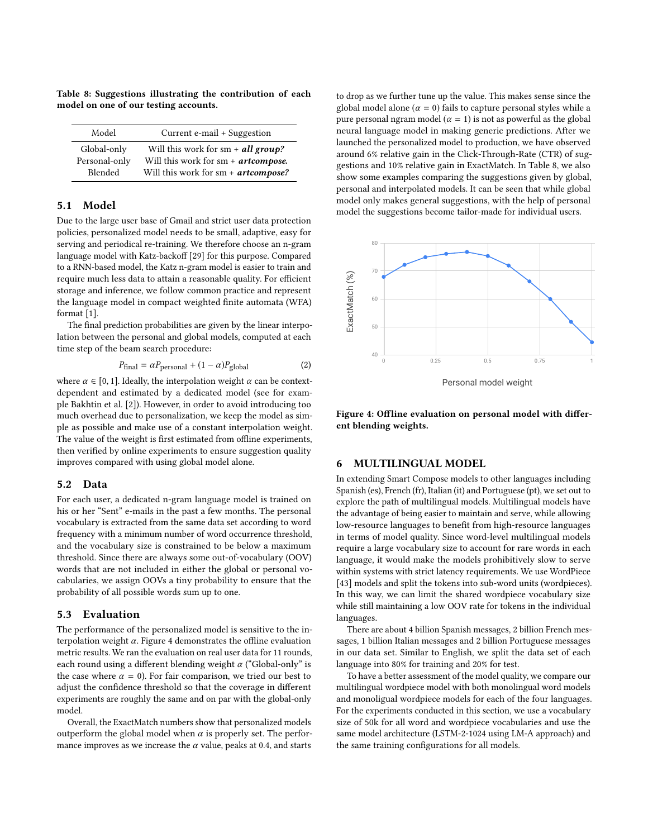<span id="page-6-2"></span>Table 8: Suggestions illustrating the contribution of each model on one of our testing accounts.

| Model         | Current e-mail + Suggestion           |
|---------------|---------------------------------------|
| Global-only   | Will this work for sm $+$ all group?  |
| Personal-only | Will this work for $sm + artompose$ . |
| Blended       | Will this work for sm + artcompose?   |

#### 5.1 Model

Due to the large user base of Gmail and strict user data protection policies, personalized model needs to be small, adaptive, easy for serving and periodical re-training. We therefore choose an n-gram language model with Katz-backoff [\[29\]](#page-8-42) for this purpose. Compared to a RNN-based model, the Katz n-gram model is easier to train and require much less data to attain a reasonable quality. For efficient storage and inference, we follow common practice and represent the language model in compact weighted finite automata (WFA) format [\[1\]](#page-8-43).

The final prediction probabilities are given by the linear interpolation between the personal and global models, computed at each time step of the beam search procedure:

$$
P_{\text{final}} = \alpha P_{\text{personal}} + (1 - \alpha) P_{\text{global}} \tag{2}
$$

where  $\alpha \in [0, 1]$ . Ideally, the interpolation weight  $\alpha$  can be context-<br>dependent and estimated by a dedicated model (see for examdependent and estimated by a dedicated model (see for example Bakhtin et al. [\[2\]](#page-8-44)). However, in order to avoid introducing too much overhead due to personalization, we keep the model as simple as possible and make use of a constant interpolation weight. The value of the weight is first estimated from offline experiments, then verified by online experiments to ensure suggestion quality improves compared with using global model alone.

#### 5.2 Data

For each user, a dedicated n-gram language model is trained on his or her "Sent" e-mails in the past a few months. The personal vocabulary is extracted from the same data set according to word frequency with a minimum number of word occurrence threshold, and the vocabulary size is constrained to be below a maximum threshold. Since there are always some out-of-vocabulary (OOV) words that are not included in either the global or personal vocabularies, we assign OOVs a tiny probability to ensure that the probability of all possible words sum up to one.

#### 5.3 Evaluation

The performance of the personalized model is sensitive to the interpolation weight  $\alpha$ . Figure [4](#page-6-1) demonstrates the offline evaluation metric results. We ran the evaluation on real user data for 11 rounds, each round using a different blending weight  $\alpha$  ("Global-only" is the case where  $\alpha = 0$ ). For fair comparison, we tried our best to adjust the confidence threshold so that the coverage in different experiments are roughly the same and on par with the global-only model.

Overall, the ExactMatch numbers show that personalized models outperform the global model when  $\alpha$  is properly set. The performance improves as we increase the  $\alpha$  value, peaks at 0.4, and starts to drop as we further tune up the value. This makes sense since the global model alone ( $\alpha = 0$ ) fails to capture personal styles while a pure personal ngram model ( $\alpha = 1$ ) is not as powerful as the global neural language model in making generic predictions. After we launched the personalized model to production, we have observed around 6% relative gain in the Click-Through-Rate (CTR) of suggestions and 10% relative gain in ExactMatch. In Table [8,](#page-6-2) we also show some examples comparing the suggestions given by global, personal and interpolated models. It can be seen that while global model only makes general suggestions, with the help of personal model the suggestions become tailor-made for individual users.

<span id="page-6-1"></span>

Personal model weight

Figure 4: Offline evaluation on personal model with different blending weights.

#### <span id="page-6-0"></span>6 MULTILINGUAL MODEL

In extending Smart Compose models to other languages including Spanish (es), French (fr), Italian (it) and Portuguese (pt), we set out to explore the path of multilingual models. Multilingual models have the advantage of being easier to maintain and serve, while allowing low-resource languages to benefit from high-resource languages in terms of model quality. Since word-level multilingual models require a large vocabulary size to account for rare words in each language, it would make the models prohibitively slow to serve within systems with strict latency requirements. We use WordPiece [\[43\]](#page-8-45) models and split the tokens into sub-word units (wordpieces). In this way, we can limit the shared wordpiece vocabulary size while still maintaining a low OOV rate for tokens in the individual languages.

There are about 4 billion Spanish messages, 2 billion French messages, 1 billion Italian messages and 2 billion Portuguese messages in our data set. Similar to English, we split the data set of each language into 80% for training and 20% for test.

To have a better assessment of the model quality, we compare our multilingual wordpiece model with both monolingual word models and monoligual wordpiece models for each of the four languages. For the experiments conducted in this section, we use a vocabulary size of 50k for all word and wordpiece vocabularies and use the same model architecture (LSTM-2-1024 using LM-A approach) and the same training configurations for all models.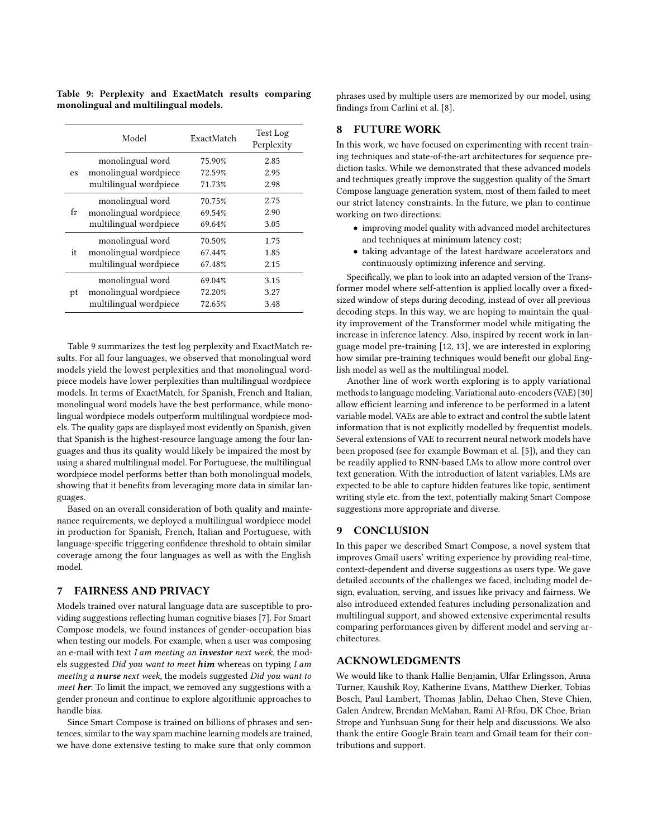<span id="page-7-1"></span>Table 9: Perplexity and ExactMatch results comparing monolingual and multilingual models.

|    | Model                  | ExactMatch | Test Log<br>Perplexity |
|----|------------------------|------------|------------------------|
|    | monolingual word       | 75.90%     | 2.85                   |
| es | monolingual wordpiece  | 72.59%     | 2.95                   |
|    | multilingual wordpiece | 71.73%     | 2.98                   |
|    | monolingual word       | 70.75%     | 2.75                   |
| fr | monolingual wordpiece  | 69.54%     | 2.90                   |
|    | multilingual wordpiece | 69.64%     | 3.05                   |
|    | monolingual word       | 70.50%     | 1.75                   |
| it | monolingual wordpiece  | 67.44%     | 1.85                   |
|    | multilingual wordpiece | 67.48%     | 2.15                   |
|    | monolingual word       | 69.04%     | 3.15                   |
| pt | monolingual wordpiece  | 72.20%     | 3.27                   |
|    | multilingual wordpiece | 72.65%     | 3.48                   |

Table [9](#page-7-1) summarizes the test log perplexity and ExactMatch results. For all four languages, we observed that monolingual word models yield the lowest perplexities and that monolingual wordpiece models have lower perplexities than multilingual wordpiece models. In terms of ExactMatch, for Spanish, French and Italian, monolingual word models have the best performance, while monolingual wordpiece models outperform multilingual wordpiece models. The quality gaps are displayed most evidently on Spanish, given that Spanish is the highest-resource language among the four languages and thus its quality would likely be impaired the most by using a shared multilingual model. For Portuguese, the multilingual wordpiece model performs better than both monolingual models, showing that it benefits from leveraging more data in similar languages.

Based on an overall consideration of both quality and maintenance requirements, we deployed a multilingual wordpiece model in production for Spanish, French, Italian and Portuguese, with language-specific triggering confidence threshold to obtain similar coverage among the four languages as well as with the English model.

# <span id="page-7-0"></span>7 FAIRNESS AND PRIVACY

Models trained over natural language data are susceptible to providing suggestions reflecting human cognitive biases [\[7\]](#page-8-46). For Smart Compose models, we found instances of gender-occupation bias when testing our models. For example, when a user was composing an e-mail with text I am meeting an investor next week, the models suggested Did you want to meet him whereas on typing I am meeting a nurse next week, the models suggested Did you want to meet her. To limit the impact, we removed any suggestions with a gender pronoun and continue to explore algorithmic approaches to handle bias.

Since Smart Compose is trained on billions of phrases and sentences, similar to the way spam machine learning models are trained, we have done extensive testing to make sure that only common

phrases used by multiple users are memorized by our model, using findings from Carlini et al. [\[8\]](#page-8-47).

# 8 FUTURE WORK

In this work, we have focused on experimenting with recent training techniques and state-of-the-art architectures for sequence prediction tasks. While we demonstrated that these advanced models and techniques greatly improve the suggestion quality of the Smart Compose language generation system, most of them failed to meet our strict latency constraints. In the future, we plan to continue working on two directions:

- improving model quality with advanced model architectures and techniques at minimum latency cost;
- taking advantage of the latest hardware accelerators and continuously optimizing inference and serving.

Specifically, we plan to look into an adapted version of the Transformer model where self-attention is applied locally over a fixedsized window of steps during decoding, instead of over all previous decoding steps. In this way, we are hoping to maintain the quality improvement of the Transformer model while mitigating the increase in inference latency. Also, inspired by recent work in language model pre-training [\[12,](#page-8-48) [13\]](#page-8-49), we are interested in exploring how similar pre-training techniques would benefit our global English model as well as the multilingual model.

Another line of work worth exploring is to apply variational methods to language modeling. Variational auto-encoders (VAE) [\[30\]](#page-8-50) allow efficient learning and inference to be performed in a latent variable model. VAEs are able to extract and control the subtle latent information that is not explicitly modelled by frequentist models. Several extensions of VAE to recurrent neural network models have been proposed (see for example Bowman et al. [\[5\]](#page-8-51)), and they can be readily applied to RNN-based LMs to allow more control over text generation. With the introduction of latent variables, LMs are expected to be able to capture hidden features like topic, sentiment writing style etc. from the text, potentially making Smart Compose suggestions more appropriate and diverse.

## 9 CONCLUSION

In this paper we described Smart Compose, a novel system that improves Gmail users' writing experience by providing real-time, context-dependent and diverse suggestions as users type. We gave detailed accounts of the challenges we faced, including model design, evaluation, serving, and issues like privacy and fairness. We also introduced extended features including personalization and multilingual support, and showed extensive experimental results comparing performances given by different model and serving architectures.

## ACKNOWLEDGMENTS

We would like to thank Hallie Benjamin, Ulfar Erlingsson, Anna Turner, Kaushik Roy, Katherine Evans, Matthew Dierker, Tobias Bosch, Paul Lambert, Thomas Jablin, Dehao Chen, Steve Chien, Galen Andrew, Brendan McMahan, Rami Al-Rfou, DK Choe, Brian Strope and Yunhsuan Sung for their help and discussions. We also thank the entire Google Brain team and Gmail team for their contributions and support.